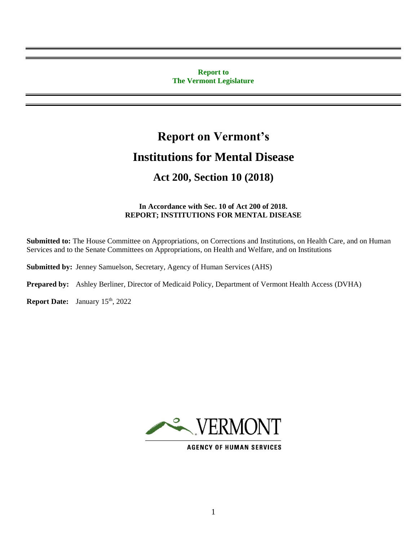#### **Report to The Vermont Legislature**

# **Report on Vermont's Institutions for Mental Disease**

# **Act 200, Section 10 (2018)**

#### **In Accordance with Sec. 10 of Act 200 of 2018. REPORT; INSTITUTIONS FOR MENTAL DISEASE**

**Submitted to:** The House Committee on Appropriations, on Corrections and Institutions, on Health Care, and on Human Services and to the Senate Committees on Appropriations, on Health and Welfare, and on Institutions

**Submitted by:** Jenney Samuelson, Secretary, Agency of Human Services (AHS)

**Prepared by:** Ashley Berliner, Director of Medicaid Policy, Department of Vermont Health Access (DVHA)

**Report Date:** January 15<sup>th</sup>, 2022



**AGENCY OF HUMAN SERVICES**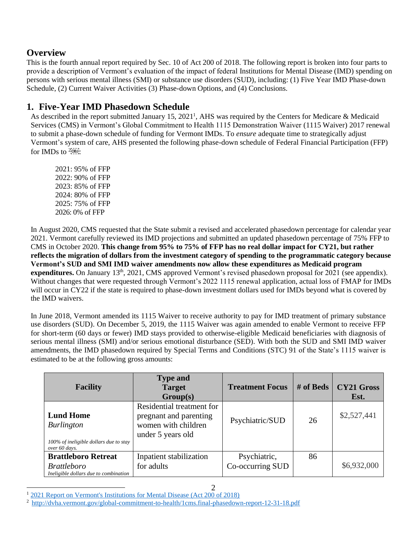### **Overview**

This is the fourth annual report required by Sec. 10 of Act 200 of 2018. The following report is broken into four parts to provide a description of Vermont's evaluation of the impact of federal Institutions for Mental Disease (IMD) spending on persons with serious mental illness (SMI) or substance use disorders (SUD), including: (1) Five Year IMD Phase-down Schedule, (2) Current Waiver Activities (3) Phase-down Options, and (4) Conclusions.

## **1. Five-Year IMD Phasedown Schedule**

As described in the report submitted January 15, 2021<sup>1</sup>, AHS was required by the Centers for Medicare & Medicaid Services (CMS) in Vermont's Global Commitment to Health 1115 Demonstration Waiver (1115 Waiver) 2017 renewal to submit a phase-down schedule of funding for Vermont IMDs. To *ensure* adequate time to strategically adjust Vermont's system of care, AHS presented the following phase-down schedule of Federal Financial Participation (FFP) for IMDs to  $250$ .

2021: 95% of FFP 2022: 90% of FFP 2023: 85% of FFP 2024: 80% of FFP 2025: 75% of FFP 2026: 0% of FFP

In August 2020, CMS requested that the State submit a revised and accelerated phasedown percentage for calendar year 2021. Vermont carefully reviewed its IMD projections and submitted an updated phasedown percentage of 75% FFP to CMS in October 2020. **This change from 95% to 75% of FFP has no real dollar impact for CY21, but rather reflects the migration of dollars from the investment category of spending to the programmatic category because Vermont's SUD and SMI IMD waiver amendments now allow these expenditures as Medicaid program expenditures.** On January 13<sup>th</sup>, 2021, CMS approved Vermont's revised phasedown proposal for 2021 (see appendix). Without changes that were requested through Vermont's 2022 1115 renewal application, actual loss of FMAP for IMDs will occur in CY22 if the state is required to phase-down investment dollars used for IMDs beyond what is covered by the IMD waivers.

In June 2018, Vermont amended its 1115 Waiver to receive authority to pay for IMD treatment of primary substance use disorders (SUD). On December 5, 2019, the 1115 Waiver was again amended to enable Vermont to receive FFP for short-term (60 days or fewer) IMD stays provided to otherwise-eligible Medicaid beneficiaries with diagnosis of serious mental illness (SMI) and/or serious emotional disturbance (SED). With both the SUD and SMI IMD waiver amendments, the IMD phasedown required by Special Terms and Conditions (STC) 91 of the State's 1115 waiver is estimated to be at the following gross amounts:

| <b>Facility</b>                                                                                  | <b>Type and</b><br><b>Target</b><br>Group(s)                                                    | <b>Treatment Focus</b>           | # of Beds | <b>CY21 Gross</b><br>Est. |
|--------------------------------------------------------------------------------------------------|-------------------------------------------------------------------------------------------------|----------------------------------|-----------|---------------------------|
| <b>Lund Home</b><br><b>Burlington</b><br>100% of ineligible dollars due to stay<br>over 60 days. | Residential treatment for<br>pregnant and parenting<br>women with children<br>under 5 years old | Psychiatric/SUD                  | 26        | \$2,527,441               |
| <b>Brattleboro Retreat</b><br><b>Brattleboro</b><br>Ineligible dollars due to combination        | Inpatient stabilization<br>for adults                                                           | Psychiatric,<br>Co-occurring SUD | 86        | \$6,932,000               |

<sup>1</sup> [2021 Report on Vermont's Institutions for Mental Disease \(Act 200 of 2018\)](https://legislature.vermont.gov/assets/Legislative-Reports/2021-Act-200-IMD-Report.pdf)

<sup>&</sup>lt;sup>2</sup> <http://dvha.vermont.gov/global-commitment-to-health/1cms.final-phasedown-report-12-31-18.pdf>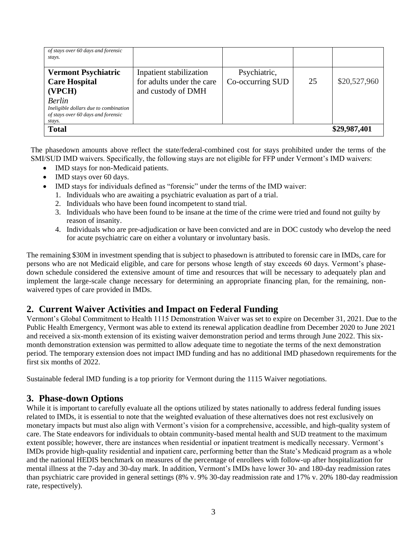| of stays over 60 days and forensic<br>stays.                                |                           |                  |    |              |
|-----------------------------------------------------------------------------|---------------------------|------------------|----|--------------|
| <b>Vermont Psychiatric</b>                                                  | Inpatient stabilization   | Psychiatric,     |    |              |
| <b>Care Hospital</b>                                                        | for adults under the care | Co-occurring SUD | 25 | \$20,527,960 |
| (VPCH)                                                                      | and custody of DMH        |                  |    |              |
| <b>Berlin</b>                                                               |                           |                  |    |              |
| Ineligible dollars due to combination<br>of stays over 60 days and forensic |                           |                  |    |              |
| stays.                                                                      |                           |                  |    |              |
| <b>Total</b>                                                                |                           | \$29,987,401     |    |              |

The phasedown amounts above reflect the state/federal-combined cost for stays prohibited under the terms of the SMI/SUD IMD waivers. Specifically, the following stays are not eligible for FFP under Vermont's IMD waivers:

- IMD stays for non-Medicaid patients.
- IMD stays over 60 days.
- IMD stays for individuals defined as "forensic" under the terms of the IMD waiver:
	- 1. Individuals who are awaiting a psychiatric evaluation as part of a trial.
	- 2. Individuals who have been found incompetent to stand trial.
	- 3. Individuals who have been found to be insane at the time of the crime were tried and found not guilty by reason of insanity.
	- 4. Individuals who are pre-adjudication or have been convicted and are in DOC custody who develop the need for acute psychiatric care on either a voluntary or involuntary basis.

The remaining \$30M in investment spending that is subject to phasedown is attributed to forensic care in IMDs, care for persons who are not Medicaid eligible, and care for persons whose length of stay exceeds 60 days. Vermont's phasedown schedule considered the extensive amount of time and resources that will be necessary to adequately plan and implement the large-scale change necessary for determining an appropriate financing plan, for the remaining, nonwaivered types of care provided in IMDs.

#### **2. Current Waiver Activities and Impact on Federal Funding**

Vermont's Global Commitment to Health 1115 Demonstration Waiver was set to expire on December 31, 2021. Due to the Public Health Emergency, Vermont was able to extend its renewal application deadline from December 2020 to June 2021 and received a six-month extension of its existing waiver demonstration period and terms through June 2022. This sixmonth demonstration extension was permitted to allow adequate time to negotiate the terms of the next demonstration period. The temporary extension does not impact IMD funding and has no additional IMD phasedown requirements for the first six months of 2022.

Sustainable federal IMD funding is a top priority for Vermont during the 1115 Waiver negotiations.

#### **3. Phase-down Options**

While it is important to carefully evaluate all the options utilized by states nationally to address federal funding issues related to IMDs, it is essential to note that the weighted evaluation of these alternatives does not rest exclusively on monetary impacts but must also align with Vermont's vision for a comprehensive, accessible, and high-quality system of care. The State endeavors for individuals to obtain community-based mental health and SUD treatment to the maximum extent possible; however, there are instances when residential or inpatient treatment is medically necessary. Vermont's IMDs provide high-quality residential and inpatient care, performing better than the State's Medicaid program as a whole and the national HEDIS benchmark on measures of the percentage of enrollees with follow-up after hospitalization for mental illness at the 7-day and 30-day mark. In addition, Vermont's IMDs have lower 30- and 180-day readmission rates than psychiatric care provided in general settings (8% v. 9% 30-day readmission rate and 17% v. 20% 180-day readmission rate, respectively).